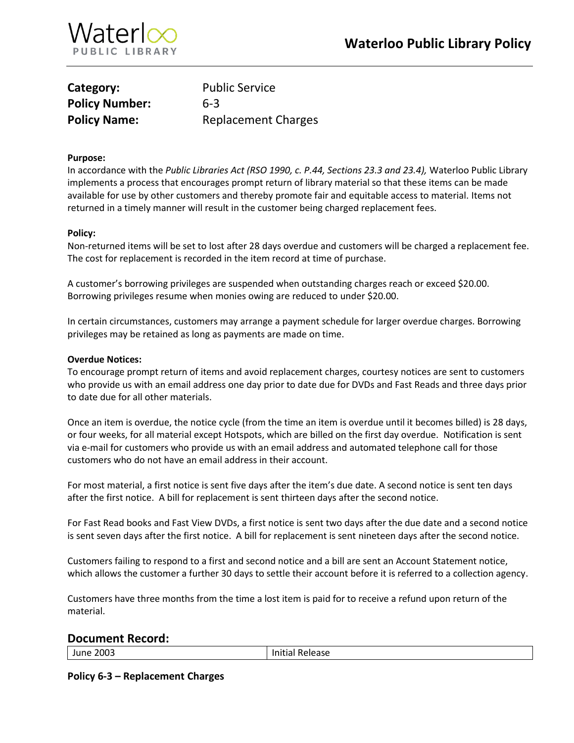

| Category:             | <b>Public Service</b>      |
|-----------------------|----------------------------|
| <b>Policy Number:</b> | $6 - 3$                    |
| <b>Policy Name:</b>   | <b>Replacement Charges</b> |

#### **Purpose:**

In accordance with the *Public Libraries Act (RSO 1990, c. P.44, Sections 23.3 and 23.4),* Waterloo Public Library implements a process that encourages prompt return of library material so that these items can be made available for use by other customers and thereby promote fair and equitable access to material. Items not returned in a timely manner will result in the customer being charged replacement fees.

### **Policy:**

Non-returned items will be set to lost after 28 days overdue and customers will be charged a replacement fee. The cost for replacement is recorded in the item record at time of purchase.

A customer's borrowing privileges are suspended when outstanding charges reach or exceed \$20.00. Borrowing privileges resume when monies owing are reduced to under \$20.00.

In certain circumstances, customers may arrange a payment schedule for larger overdue charges. Borrowing privileges may be retained as long as payments are made on time.

#### **Overdue Notices:**

To encourage prompt return of items and avoid replacement charges, courtesy notices are sent to customers who provide us with an email address one day prior to date due for DVDs and Fast Reads and three days prior to date due for all other materials.

Once an item is overdue, the notice cycle (from the time an item is overdue until it becomes billed) is 28 days, or four weeks, for all material except Hotspots, which are billed on the first day overdue. Notification is sent via e-mail for customers who provide us with an email address and automated telephone call for those customers who do not have an email address in their account.

For most material, a first notice is sent five days after the item's due date. A second notice is sent ten days after the first notice. A bill for replacement is sent thirteen days after the second notice.

For Fast Read books and Fast View DVDs, a first notice is sent two days after the due date and a second notice is sent seven days after the first notice. A bill for replacement is sent nineteen days after the second notice.

Customers failing to respond to a first and second notice and a bill are sent an Account Statement notice, which allows the customer a further 30 days to settle their account before it is referred to a collection agency.

Customers have three months from the time a lost item is paid for to receive a refund upon return of the material.

## **Document Record:**

June 2003 and the Unitial Release

**Policy 6-3 – Replacement Charges**